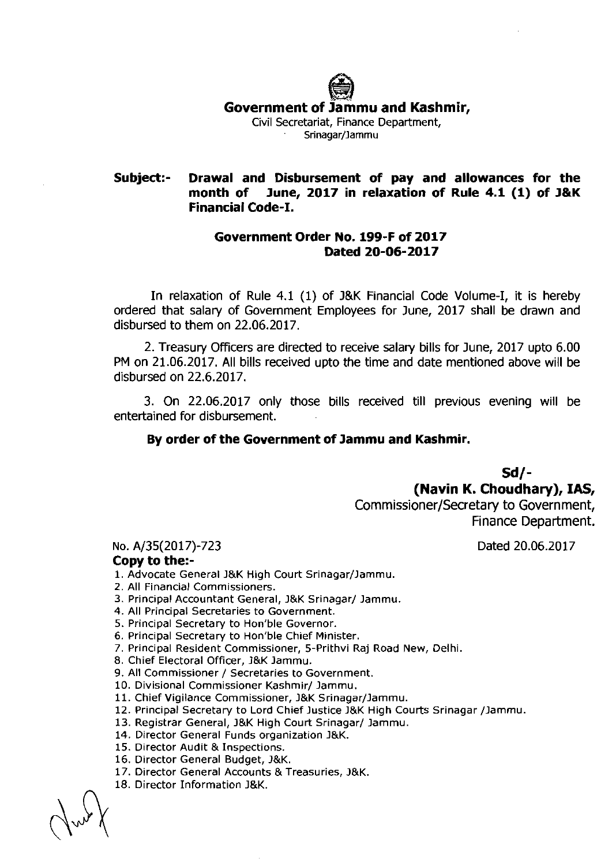**\*-<L Government of Jammu and Kashmir,**  Civil Secretariat, Finance Department, Srinagar/Jammu

## **Subject:- Drawal and Disbursement of pay and allowances for the month of June, 2017 in relaxation of Rule 4.1 (1) of J&K Financial Code-I.**

## **Government Order No. 199-F of 2017 Dated 20-06-2017**

In relaxation of Rule 4.1 (1) of J&K Financial Code Volume-I, it is hereby ordered that salary of Government Employees for June, 2017 shall be drawn and disbursed to them on 22.06.2017.

2. Treasury Officers are directed to receive salary bills for June, 2017 upto 6.00 PM on 21.06.2017. All bills received upto the time and date mentioned above will be disbursed on 22.6.2017.

3. On 22.06.2017 only those bills received till previous evening will be entertained for disbursement.

## **By order of the Government of Jammu and Kashmir.**

**Sd/-** 

**(Navin K. Choudhary), IAS,** 

Commissioner/Secretary to Government, Finance Department.

No. A/35(2017)-723 Dated 20.06.2017

## **Copy to the:-**

1. Advocate General J&K High Court Srinagar/Jammu.

- 2. All Financial Commissioners.
- 3. Principal Accountant General, J&K Srinagar/ Jammu.
- 4. All Principal Secretaries to Government.
- 5. Principal Secretary to Hon'ble Governor.
- 6. Principal Secretary to Hon'ble Chief Minister.
- 7. Principal Resident Commissioner, 5-Prithvi Raj Road New, Delhi.
- 8. Chief Electoral Officer, 3&K lammu.
- 9. All Commissioner / Secretaries to Government.
- 10. Divisional Commissioner Kashmir/ Jammu.
- 11. Chief Vigilance Commissioner, J&K Srinagar/Jammu.
- 12. Principal Secretary to Lord Chief Justice J&K High Courts Srinagar /Jammu.
- 13. Registrar General, J&K High Court Srinagar/ Jammu.
- 14. Director General Funds organization J&K.
- 15. Director Audit & Inspections.
- 16. Director General Budget, J&K.
- 17. Director General Accounts & Treasuries, J&K.
- 18. Director Information J&K.

 $\sim$